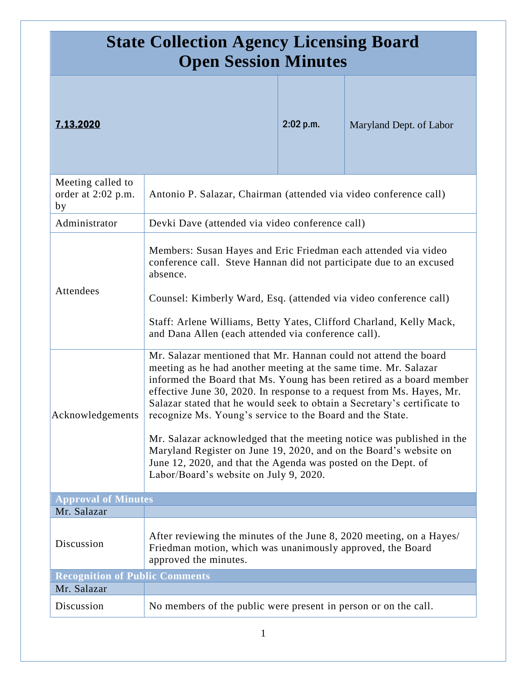| <b>State Collection Agency Licensing Board</b><br><b>Open Session Minutes</b> |                                                                                                                                                                                                                                                                                                                                                                                                                                                                                                                                                                                                                                                                                        |           |                         |  |
|-------------------------------------------------------------------------------|----------------------------------------------------------------------------------------------------------------------------------------------------------------------------------------------------------------------------------------------------------------------------------------------------------------------------------------------------------------------------------------------------------------------------------------------------------------------------------------------------------------------------------------------------------------------------------------------------------------------------------------------------------------------------------------|-----------|-------------------------|--|
| 7.13.2020                                                                     |                                                                                                                                                                                                                                                                                                                                                                                                                                                                                                                                                                                                                                                                                        | 2:02 p.m. | Maryland Dept. of Labor |  |
| Meeting called to<br>order at 2:02 p.m.<br>by                                 | Antonio P. Salazar, Chairman (attended via video conference call)                                                                                                                                                                                                                                                                                                                                                                                                                                                                                                                                                                                                                      |           |                         |  |
| Administrator                                                                 | Devki Dave (attended via video conference call)                                                                                                                                                                                                                                                                                                                                                                                                                                                                                                                                                                                                                                        |           |                         |  |
| Attendees                                                                     | Members: Susan Hayes and Eric Friedman each attended via video<br>conference call. Steve Hannan did not participate due to an excused<br>absence.<br>Counsel: Kimberly Ward, Esq. (attended via video conference call)<br>Staff: Arlene Williams, Betty Yates, Clifford Charland, Kelly Mack,<br>and Dana Allen (each attended via conference call).                                                                                                                                                                                                                                                                                                                                   |           |                         |  |
| Acknowledgements                                                              | Mr. Salazar mentioned that Mr. Hannan could not attend the board<br>meeting as he had another meeting at the same time. Mr. Salazar<br>informed the Board that Ms. Young has been retired as a board member<br>effective June 30, 2020. In response to a request from Ms. Hayes, Mr.<br>Salazar stated that he would seek to obtain a Secretary's certificate to<br>recognize Ms. Young's service to the Board and the State.<br>Mr. Salazar acknowledged that the meeting notice was published in the<br>Maryland Register on June 19, 2020, and on the Board's website on<br>June 12, 2020, and that the Agenda was posted on the Dept. of<br>Labor/Board's website on July 9, 2020. |           |                         |  |
| <b>Approval of Minutes</b>                                                    |                                                                                                                                                                                                                                                                                                                                                                                                                                                                                                                                                                                                                                                                                        |           |                         |  |
| Mr. Salazar<br>Discussion                                                     | After reviewing the minutes of the June 8, 2020 meeting, on a Hayes/<br>Friedman motion, which was unanimously approved, the Board<br>approved the minutes.                                                                                                                                                                                                                                                                                                                                                                                                                                                                                                                            |           |                         |  |
| <b>Recognition of Public Comments</b>                                         |                                                                                                                                                                                                                                                                                                                                                                                                                                                                                                                                                                                                                                                                                        |           |                         |  |
| Mr. Salazar                                                                   |                                                                                                                                                                                                                                                                                                                                                                                                                                                                                                                                                                                                                                                                                        |           |                         |  |
| Discussion                                                                    | No members of the public were present in person or on the call.                                                                                                                                                                                                                                                                                                                                                                                                                                                                                                                                                                                                                        |           |                         |  |

1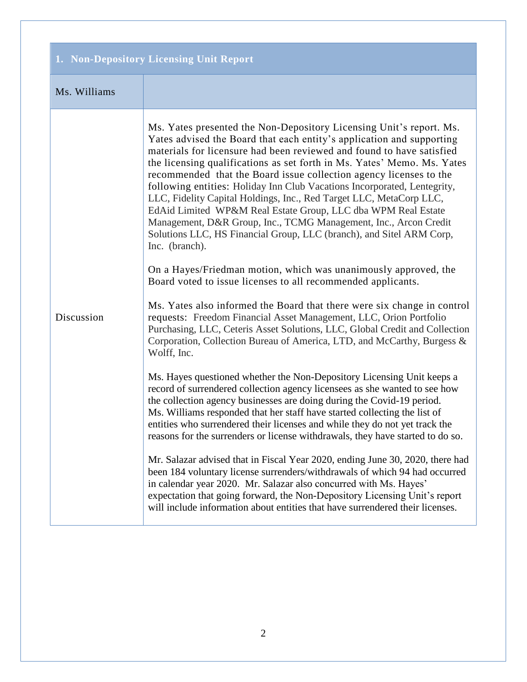## **1. Non-Depository Licensing Unit Report**

## Ms. Williams

| Discussion | Ms. Yates presented the Non-Depository Licensing Unit's report. Ms.<br>Yates advised the Board that each entity's application and supporting<br>materials for licensure had been reviewed and found to have satisfied<br>the licensing qualifications as set forth in Ms. Yates' Memo. Ms. Yates<br>recommended that the Board issue collection agency licenses to the<br>following entities: Holiday Inn Club Vacations Incorporated, Lentegrity,<br>LLC, Fidelity Capital Holdings, Inc., Red Target LLC, MetaCorp LLC,<br>EdAid Limited WP&M Real Estate Group, LLC dba WPM Real Estate<br>Management, D&R Group, Inc., TCMG Management, Inc., Arcon Credit<br>Solutions LLC, HS Financial Group, LLC (branch), and Sitel ARM Corp,<br>Inc. (branch). |  |
|------------|----------------------------------------------------------------------------------------------------------------------------------------------------------------------------------------------------------------------------------------------------------------------------------------------------------------------------------------------------------------------------------------------------------------------------------------------------------------------------------------------------------------------------------------------------------------------------------------------------------------------------------------------------------------------------------------------------------------------------------------------------------|--|
|            | On a Hayes/Friedman motion, which was unanimously approved, the<br>Board voted to issue licenses to all recommended applicants.                                                                                                                                                                                                                                                                                                                                                                                                                                                                                                                                                                                                                          |  |
|            | Ms. Yates also informed the Board that there were six change in control<br>requests: Freedom Financial Asset Management, LLC, Orion Portfolio<br>Purchasing, LLC, Ceteris Asset Solutions, LLC, Global Credit and Collection<br>Corporation, Collection Bureau of America, LTD, and McCarthy, Burgess &<br>Wolff, Inc.                                                                                                                                                                                                                                                                                                                                                                                                                                   |  |
|            | Ms. Hayes questioned whether the Non-Depository Licensing Unit keeps a<br>record of surrendered collection agency licensees as she wanted to see how<br>the collection agency businesses are doing during the Covid-19 period.<br>Ms. Williams responded that her staff have started collecting the list of<br>entities who surrendered their licenses and while they do not yet track the<br>reasons for the surrenders or license withdrawals, they have started to do so.                                                                                                                                                                                                                                                                             |  |
|            | Mr. Salazar advised that in Fiscal Year 2020, ending June 30, 2020, there had<br>been 184 voluntary license surrenders/withdrawals of which 94 had occurred<br>in calendar year 2020. Mr. Salazar also concurred with Ms. Hayes'<br>expectation that going forward, the Non-Depository Licensing Unit's report<br>will include information about entities that have surrendered their licenses.                                                                                                                                                                                                                                                                                                                                                          |  |